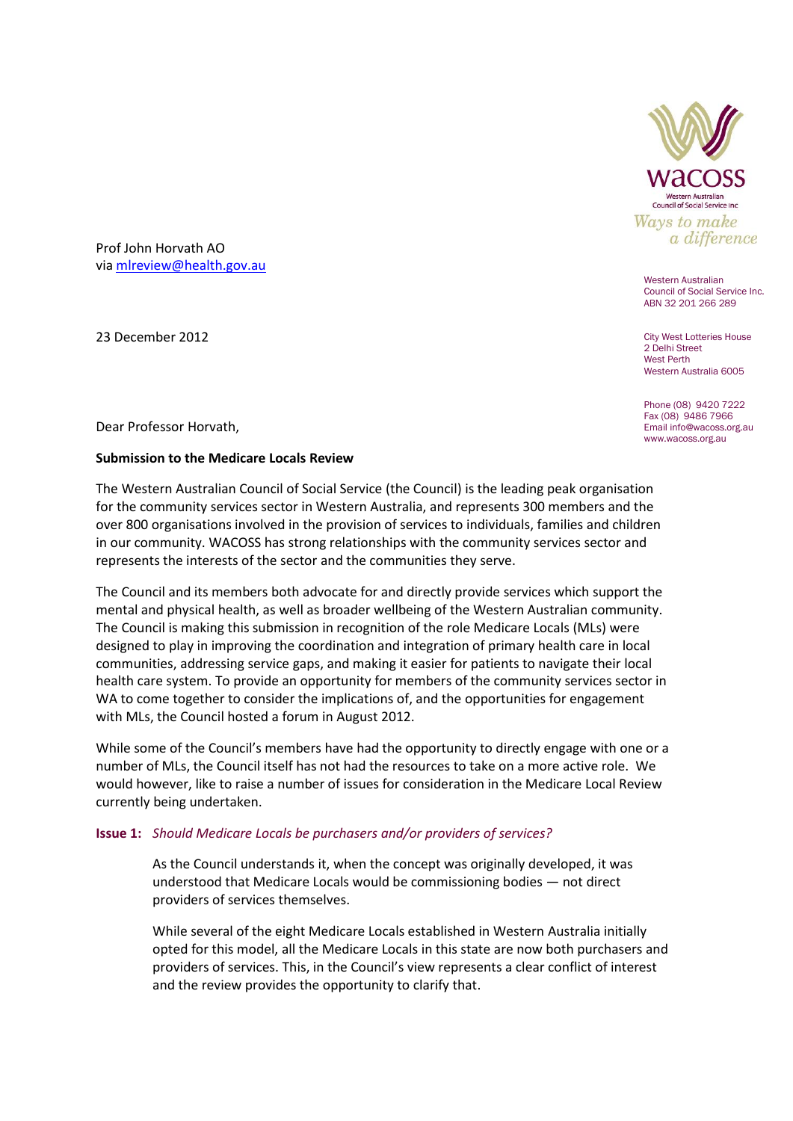

Western Australian Council of Social Service Inc. ABN 32 201 266 289

City West Lotteries House 2 Delhi Street West Perth Western Australia 6005

Phone (08) 9420 7222 Fax (08) 9486 7966 Email info@wacoss.org.au www.wacoss.org.au

Prof John Horvath AO via [mlreview@health.gov.au](mailto:mlreview@health.gov.au)

23 December 2012

Dear Professor Horvath,

## **Submission to the Medicare Locals Review**

The Western Australian Council of Social Service (the Council) is the leading peak organisation for the community services sector in Western Australia, and represents 300 members and the over 800 organisations involved in the provision of services to individuals, families and children in our community. WACOSS has strong relationships with the community services sector and represents the interests of the sector and the communities they serve.

The Council and its members both advocate for and directly provide services which support the mental and physical health, as well as broader wellbeing of the Western Australian community. The Council is making this submission in recognition of the role Medicare Locals (MLs) were designed to play in improving the coordination and integration of primary health care in local communities, addressing service gaps, and making it easier for patients to navigate their local health care system. To provide an opportunity for members of the community services sector in WA to come together to consider the implications of, and the opportunities for engagement with MLs, the Council hosted a forum in August 2012.

While some of the Council's members have had the opportunity to directly engage with one or a number of MLs, the Council itself has not had the resources to take on a more active role. We would however, like to raise a number of issues for consideration in the Medicare Local Review currently being undertaken.

## **Issue 1:** *Should Medicare Locals be purchasers and/or providers of services?*

As the Council understands it, when the concept was originally developed, it was understood that Medicare Locals would be commissioning bodies — not direct providers of services themselves.

While several of the eight Medicare Locals established in Western Australia initially opted for this model, all the Medicare Locals in this state are now both purchasers and providers of services. This, in the Council's view represents a clear conflict of interest and the review provides the opportunity to clarify that.